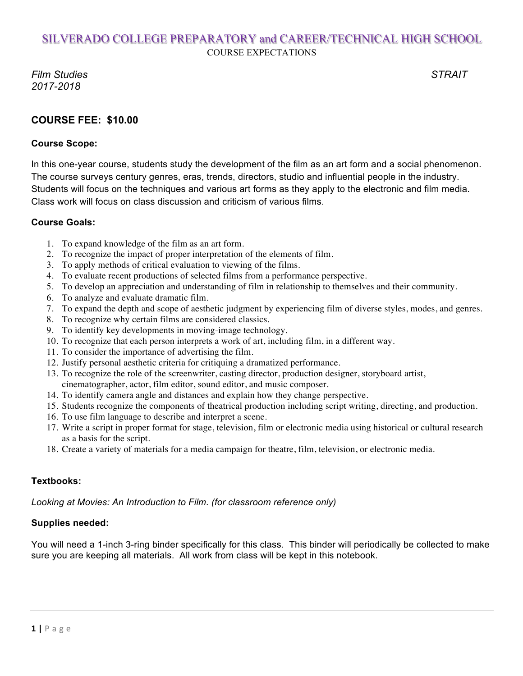*Film Studies STRAIT 2017-2018*

## **COURSE FEE: \$10.00**

### **Course Scope:**

In this one-year course, students study the development of the film as an art form and a social phenomenon. The course surveys century genres, eras, trends, directors, studio and influential people in the industry. Students will focus on the techniques and various art forms as they apply to the electronic and film media. Class work will focus on class discussion and criticism of various films.

### **Course Goals:**

- 1. To expand knowledge of the film as an art form.
- 2. To recognize the impact of proper interpretation of the elements of film.
- 3. To apply methods of critical evaluation to viewing of the films.
- 4. To evaluate recent productions of selected films from a performance perspective.
- 5. To develop an appreciation and understanding of film in relationship to themselves and their community.
- 6. To analyze and evaluate dramatic film.
- 7. To expand the depth and scope of aesthetic judgment by experiencing film of diverse styles, modes, and genres.
- 8. To recognize why certain films are considered classics.
- 9. To identify key developments in moving-image technology.
- 10. To recognize that each person interprets a work of art, including film, in a different way.
- 11. To consider the importance of advertising the film.
- 12. Justify personal aesthetic criteria for critiquing a dramatized performance.
- 13. To recognize the role of the screenwriter, casting director, production designer, storyboard artist, cinematographer, actor, film editor, sound editor, and music composer.
- 14. To identify camera angle and distances and explain how they change perspective.
- 15. Students recognize the components of theatrical production including script writing, directing, and production.
- 16. To use film language to describe and interpret a scene.
- 17. Write a script in proper format for stage, television, film or electronic media using historical or cultural research as a basis for the script.
- 18. Create a variety of materials for a media campaign for theatre, film, television, or electronic media.

### **Textbooks:**

*Looking at Movies: An Introduction to Film. (for classroom reference only)*

## **Supplies needed:**

You will need a 1-inch 3-ring binder specifically for this class. This binder will periodically be collected to make sure you are keeping all materials. All work from class will be kept in this notebook.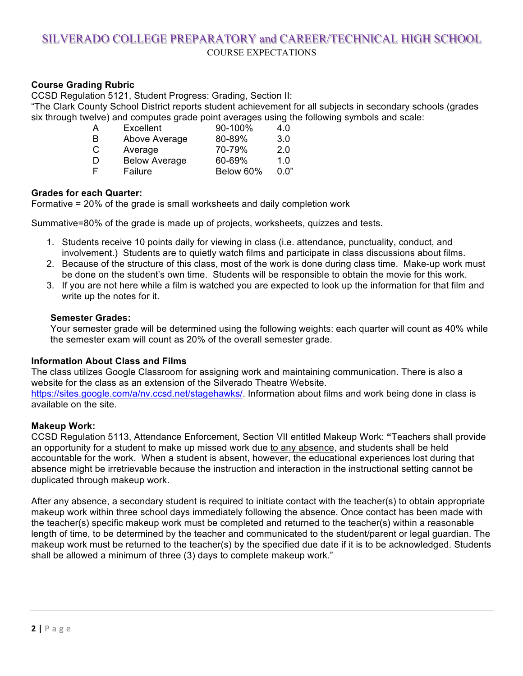### **Course Grading Rubric**

CCSD Regulation 5121, Student Progress: Grading, Section II:

"The Clark County School District reports student achievement for all subjects in secondary schools (grades six through twelve) and computes grade point averages using the following symbols and scale:

| А | Excellent            | 90-100%   | 4.0   |
|---|----------------------|-----------|-------|
| B | Above Average        | 80-89%    | 3.0   |
| С | Average              | 70-79%    | 2.0   |
| D | <b>Below Average</b> | 60-69%    | 1.0   |
| F | Failure              | Below 60% | 0. በ" |

### **Grades for each Quarter:**

Formative = 20% of the grade is small worksheets and daily completion work

Summative=80% of the grade is made up of projects, worksheets, quizzes and tests.

- 1. Students receive 10 points daily for viewing in class (i.e. attendance, punctuality, conduct, and involvement.) Students are to quietly watch films and participate in class discussions about films.
- 2. Because of the structure of this class, most of the work is done during class time. Make-up work must be done on the student's own time. Students will be responsible to obtain the movie for this work.
- 3. If you are not here while a film is watched you are expected to look up the information for that film and write up the notes for it.

#### **Semester Grades:**

Your semester grade will be determined using the following weights: each quarter will count as 40% while the semester exam will count as 20% of the overall semester grade.

### **Information About Class and Films**

The class utilizes Google Classroom for assigning work and maintaining communication. There is also a website for the class as an extension of the Silverado Theatre Website. https://sites.google.com/a/nv.ccsd.net/stagehawks/. Information about films and work being done in class is

available on the site.

### **Makeup Work:**

CCSD Regulation 5113, Attendance Enforcement, Section VII entitled Makeup Work: **"**Teachers shall provide an opportunity for a student to make up missed work due to any absence, and students shall be held accountable for the work. When a student is absent, however, the educational experiences lost during that absence might be irretrievable because the instruction and interaction in the instructional setting cannot be duplicated through makeup work.

After any absence, a secondary student is required to initiate contact with the teacher(s) to obtain appropriate makeup work within three school days immediately following the absence. Once contact has been made with the teacher(s) specific makeup work must be completed and returned to the teacher(s) within a reasonable length of time, to be determined by the teacher and communicated to the student/parent or legal guardian. The makeup work must be returned to the teacher(s) by the specified due date if it is to be acknowledged. Students shall be allowed a minimum of three (3) days to complete makeup work."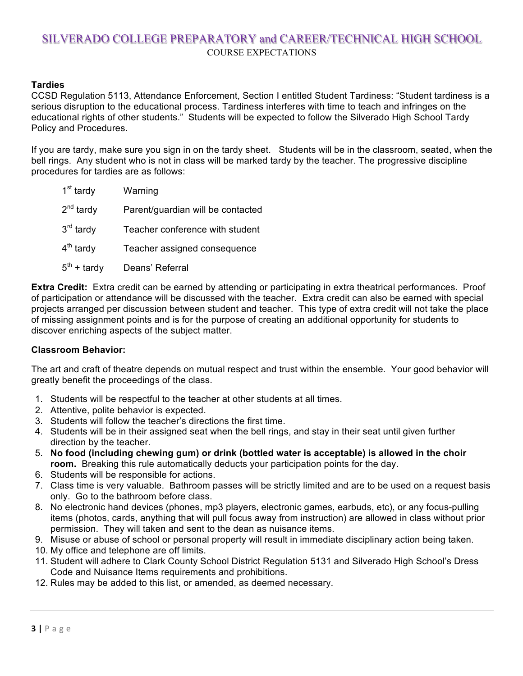### **Tardies**

CCSD Regulation 5113, Attendance Enforcement, Section I entitled Student Tardiness: "Student tardiness is a serious disruption to the educational process. Tardiness interferes with time to teach and infringes on the educational rights of other students." Students will be expected to follow the Silverado High School Tardy Policy and Procedures.

If you are tardy, make sure you sign in on the tardy sheet. Students will be in the classroom, seated, when the bell rings. Any student who is not in class will be marked tardy by the teacher. The progressive discipline procedures for tardies are as follows:

| 1 <sup>st</sup> tardy | Warning                           |
|-----------------------|-----------------------------------|
| $2^{nd}$ tardy        | Parent/guardian will be contacted |
| $3rd$ tardy           | Teacher conference with student   |
| $4th$ tardy           | Teacher assigned consequence      |
| $5^{th}$ + tardy      | Deans' Referral                   |

**Extra Credit:** Extra credit can be earned by attending or participating in extra theatrical performances. Proof of participation or attendance will be discussed with the teacher. Extra credit can also be earned with special projects arranged per discussion between student and teacher. This type of extra credit will not take the place of missing assignment points and is for the purpose of creating an additional opportunity for students to discover enriching aspects of the subject matter.

### **Classroom Behavior:**

The art and craft of theatre depends on mutual respect and trust within the ensemble. Your good behavior will greatly benefit the proceedings of the class.

- 1. Students will be respectful to the teacher at other students at all times.
- 2. Attentive, polite behavior is expected.
- 3. Students will follow the teacher's directions the first time.
- 4. Students will be in their assigned seat when the bell rings, and stay in their seat until given further direction by the teacher.
- 5. **No food (including chewing gum) or drink (bottled water is acceptable) is allowed in the choir room.** Breaking this rule automatically deducts your participation points for the day.
- 6. Students will be responsible for actions.
- 7. Class time is very valuable. Bathroom passes will be strictly limited and are to be used on a request basis only. Go to the bathroom before class.
- 8. No electronic hand devices (phones, mp3 players, electronic games, earbuds, etc), or any focus-pulling items (photos, cards, anything that will pull focus away from instruction) are allowed in class without prior permission. They will taken and sent to the dean as nuisance items.
- 9. Misuse or abuse of school or personal property will result in immediate disciplinary action being taken.
- 10. My office and telephone are off limits.
- 11. Student will adhere to Clark County School District Regulation 5131 and Silverado High School's Dress Code and Nuisance Items requirements and prohibitions.
- 12. Rules may be added to this list, or amended, as deemed necessary.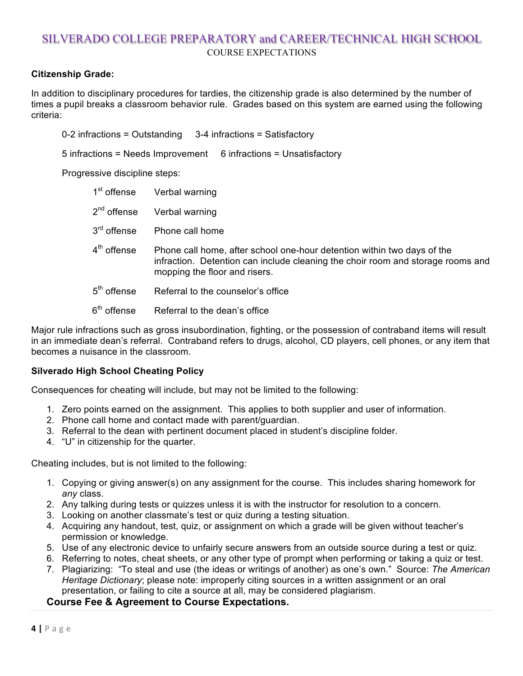### **Citizenship Grade:**

In addition to disciplinary procedures for tardies, the citizenship grade is also determined by the number of times a pupil breaks a classroom behavior rule. Grades based on this system are earned using the following criteria:

0-2 infractions = Outstanding 3-4 infractions = Satisfactory

5 infractions = Needs Improvement 6 infractions = Unsatisfactory

Progressive discipline steps:

| 1 <sup>st</sup> offense | Verbal warning                                                                                                                                                                              |
|-------------------------|---------------------------------------------------------------------------------------------------------------------------------------------------------------------------------------------|
| $2nd$ offense           | Verbal warning                                                                                                                                                                              |
| 3 <sup>rd</sup> offense | Phone call home                                                                                                                                                                             |
| 4 <sup>th</sup> offense | Phone call home, after school one-hour detention within two days of the<br>infraction. Detention can include cleaning the choir room and storage rooms and<br>mopping the floor and risers. |
| 5 <sup>th</sup> offense | Referral to the counselor's office                                                                                                                                                          |
| $6th$ offense           | Referral to the dean's office                                                                                                                                                               |

Major rule infractions such as gross insubordination, fighting, or the possession of contraband items will result in an immediate dean's referral. Contraband refers to drugs, alcohol, CD players, cell phones, or any item that becomes a nuisance in the classroom.

### **Silverado High School Cheating Policy**

Consequences for cheating will include, but may not be limited to the following:

- 1. Zero points earned on the assignment. This applies to both supplier and user of information.
- 2. Phone call home and contact made with parent/guardian.
- 3. Referral to the dean with pertinent document placed in student's discipline folder.
- 4. "U" in citizenship for the quarter.

Cheating includes, but is not limited to the following:

- 1. Copying or giving answer(s) on any assignment for the course. This includes sharing homework for *any* class.
- 2. Any talking during tests or quizzes unless it is with the instructor for resolution to a concern.
- 3. Looking on another classmate's test or quiz during a testing situation.
- 4. Acquiring any handout, test, quiz, or assignment on which a grade will be given without teacher's permission or knowledge.
- 5. Use of any electronic device to unfairly secure answers from an outside source during a test or quiz.
- 6. Referring to notes, cheat sheets, or any other type of prompt when performing or taking a quiz or test.
- 7. Plagiarizing: "To steal and use (the ideas or writings of another) as one's own." Source: *The American Heritage Dictionary*; please note: improperly citing sources in a written assignment or an oral presentation, or failing to cite a source at all, may be considered plagiarism.

### **Course Fee & Agreement to Course Expectations.**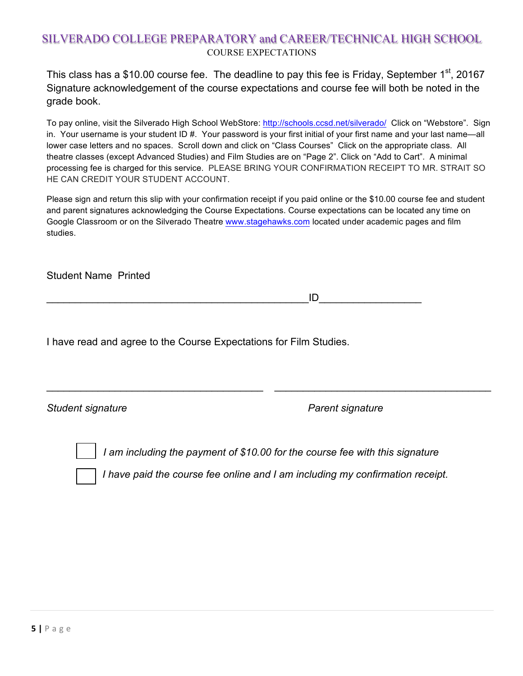This class has a \$10.00 course fee. The deadline to pay this fee is Friday, September 1<sup>st</sup>, 20167 Signature acknowledgement of the course expectations and course fee will both be noted in the grade book.

To pay online, visit the Silverado High School WebStore: http://schools.ccsd.net/silverado/ Click on "Webstore". Sign in. Your username is your student ID #. Your password is your first initial of your first name and your last name—all lower case letters and no spaces. Scroll down and click on "Class Courses" Click on the appropriate class. All theatre classes (except Advanced Studies) and Film Studies are on "Page 2". Click on "Add to Cart". A minimal processing fee is charged for this service. PLEASE BRING YOUR CONFIRMATION RECEIPT TO MR. STRAIT SO HE CAN CREDIT YOUR STUDENT ACCOUNT.

Please sign and return this slip with your confirmation receipt if you paid online or the \$10.00 course fee and student and parent signatures acknowledging the Course Expectations. Course expectations can be located any time on Google Classroom or on the Silverado Theatre www.stagehawks.com located under academic pages and film studies.

Student Name Printed

 $\Box$ 

I have read and agree to the Course Expectations for Film Studies.

**Student signature** *Student signature* Parent signature

*I am including the payment of \$10.00 for the course fee with this signature*

\_\_\_\_\_\_\_\_\_\_\_\_\_\_\_\_\_\_\_\_\_\_\_\_\_\_\_\_\_\_\_\_\_\_\_\_\_\_ \_\_\_\_\_\_\_\_\_\_\_\_\_\_\_\_\_\_\_\_\_\_\_\_\_\_\_\_\_\_\_\_\_\_\_\_\_\_

*I have paid the course fee online and I am including my confirmation receipt.*